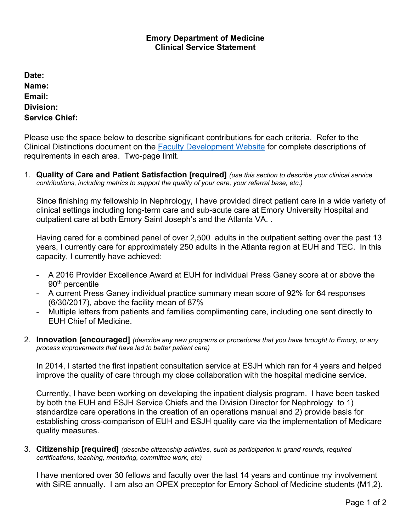## **Emory Department of Medicine Clinical Service Statement**

**Date: Name: Email: Division: Service Chief:**

Please use the space below to describe significant contributions for each criteria. Refer to the Clinical Distinctions document on the [Faculty Development Website](http://medicine.emory.edu/faculty-staff-resources/faculty-development/) for complete descriptions of requirements in each area. Two-page limit.

1. **Quality of Care and Patient Satisfaction [required]** *(use this section to describe your clinical service contributions, including metrics to support the quality of your care, your referral base, etc.)*

Since finishing my fellowship in Nephrology, I have provided direct patient care in a wide variety of clinical settings including long-term care and sub-acute care at Emory University Hospital and outpatient care at both Emory Saint Joseph's and the Atlanta VA. .

Having cared for a combined panel of over 2,500 adults in the outpatient setting over the past 13 years, I currently care for approximately 250 adults in the Atlanta region at EUH and TEC. In this capacity, I currently have achieved:

- A 2016 Provider Excellence Award at EUH for individual Press Ganey score at or above the 90<sup>th</sup> percentile
- A current Press Ganey individual practice summary mean score of 92% for 64 responses (6/30/2017), above the facility mean of 87%
- Multiple letters from patients and families complimenting care, including one sent directly to EUH Chief of Medicine.
- 2. **Innovation [encouraged]** *(describe any new programs or procedures that you have brought to Emory, or any process improvements that have led to better patient care)*

In 2014, I started the first inpatient consultation service at ESJH which ran for 4 years and helped improve the quality of care through my close collaboration with the hospital medicine service.

Currently, I have been working on developing the inpatient dialysis program. I have been tasked by both the EUH and ESJH Service Chiefs and the Division Director for Nephrology to 1) standardize care operations in the creation of an operations manual and 2) provide basis for establishing cross-comparison of EUH and ESJH quality care via the implementation of Medicare quality measures.

3. **Citizenship [required]** *(describe citizenship activities, such as participation in grand rounds, required certifications, teaching, mentoring, committee work, etc)*

I have mentored over 30 fellows and faculty over the last 14 years and continue my involvement with SiRE annually. I am also an OPEX preceptor for Emory School of Medicine students (M1,2).